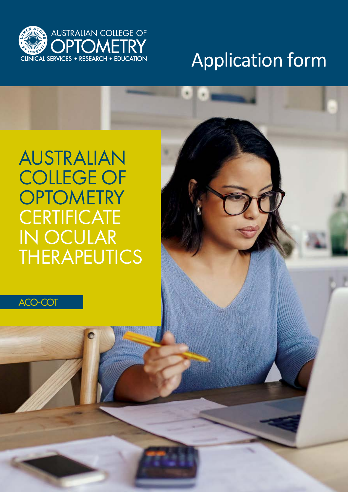

# Application form

# AUSTRALIAN COLLEGE OF **OPTOMETRY CERTIFICATE** IN OCULAR **THERAPEUTICS**

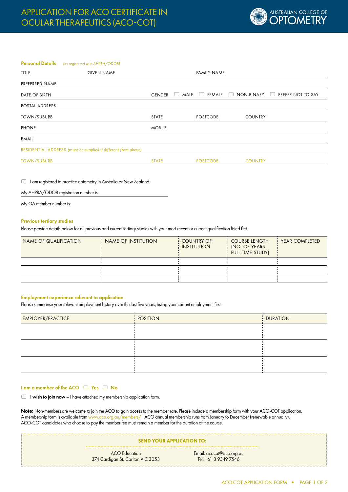

# **Personal Details** (as registered with AHPRA/ODOB)

| TITLE              | <b>GIVEN NAME</b>                                              |               |                                                         | <b>FAMILY NAME</b> |                      |                                             |
|--------------------|----------------------------------------------------------------|---------------|---------------------------------------------------------|--------------------|----------------------|---------------------------------------------|
| PREFERRED NAME     |                                                                |               |                                                         |                    |                      |                                             |
| DATE OF BIRTH      |                                                                | <b>GENDER</b> | $MALE$ $\Box$<br>$\begin{pmatrix} 1 \\ 1 \end{pmatrix}$ | <b>FEMALE</b>      | NON-BINARY<br>$\Box$ | PREFER NOT TO SAY<br>$\left( \quad \right)$ |
| POSTAL ADDRESS     |                                                                |               |                                                         |                    |                      |                                             |
| <b>TOWN/SUBURB</b> |                                                                | STATE         |                                                         | <b>POSTCODE</b>    | <b>COUNTRY</b>       |                                             |
| <b>PHONE</b>       |                                                                | <b>MOBILE</b> |                                                         |                    |                      |                                             |
| EMAIL              |                                                                |               |                                                         |                    |                      |                                             |
|                    | RESIDENTIAL ADDRESS (must be supplied if different from above) |               |                                                         |                    |                      |                                             |
| <b>TOWN/SUBURB</b> |                                                                | <b>STATE</b>  |                                                         | <b>POSTCODE</b>    | <b>COUNTRY</b>       |                                             |

I am registered to practice optometry in Australia or New Zealand.

| My AHPRA/ODOB registration number is:                              |  |  |  |
|--------------------------------------------------------------------|--|--|--|
| $\begin{array}{ccc} \n\cdot & \cdot & \cdot & \cdot \n\end{array}$ |  |  |  |

My OA member number is:

#### Previous tertiary studies

Please provide details below for all previous and current tertiary studies with your most recent or current qualification listed first.

| NAME OF QUALIFICATION | NAME OF INSTITUTION | <b>COUNTRY OF</b><br><b>INSTITUTION</b> | <b>COURSE LENGTH</b><br>: INO. OF YEARS<br><b>FULL TIME STUDY)</b> | <b>YEAR COMPLETED</b> |
|-----------------------|---------------------|-----------------------------------------|--------------------------------------------------------------------|-----------------------|
|                       |                     |                                         |                                                                    |                       |
|                       |                     |                                         |                                                                    |                       |
|                       |                     |                                         |                                                                    |                       |

# Employment experience relevant to application

Please summarise your relevant employment history over the last five years, listing your current employment first.

| EMPLOYER/PRACTICE | <b>POSITION</b> | DURATION |
|-------------------|-----------------|----------|
|                   |                 |          |
|                   |                 |          |
|                   |                 |          |
|                   |                 |          |
|                   |                 |          |
|                   |                 |          |

# I am a member of the ACO  $\Box$  Yes  $\Box$  No

 $\Box$  I wish to join now - I have attached my membership application form.

Note: Non-members are welcome to join the ACO to gain access to the member rate. Please include a membership form with your ACO-COT application. A membership form is available from www.aco.org.au/members/ ACO annual membership runs from January to December (renewable annually). ACO-COT candidates who choose to pay the member fee must remain a member for the duration of the course.

| <b>SEND YOUR APPLICATION TO:</b>                          |                                                  |  |
|-----------------------------------------------------------|--------------------------------------------------|--|
| <b>ACO</b> Education<br>374 Cardigan St, Carlton VIC 3053 | Email: acocot@aco.org.au<br>Tel: +61 3 9349 7546 |  |